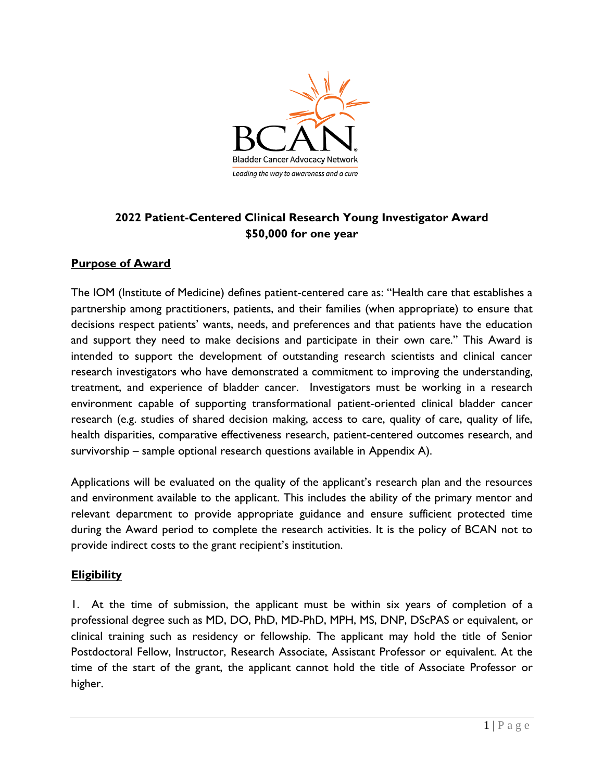

# **2022 Patient-Centered Clinical Research Young Investigator Award \$50,000 for one year**

## **Purpose of Award**

The IOM (Institute of Medicine) defines patient-centered care as: "Health care that establishes a partnership among practitioners, patients, and their families (when appropriate) to ensure that decisions respect patients' wants, needs, and preferences and that patients have the education and support they need to make decisions and participate in their own care." This Award is intended to support the development of outstanding research scientists and clinical cancer research investigators who have demonstrated a commitment to improving the understanding, treatment, and experience of bladder cancer. Investigators must be working in a research environment capable of supporting transformational patient-oriented clinical bladder cancer research (e.g. studies of shared decision making, access to care, quality of care, quality of life, health disparities, comparative effectiveness research, patient-centered outcomes research, and survivorship – sample optional research questions available in Appendix A).

Applications will be evaluated on the quality of the applicant's research plan and the resources and environment available to the applicant. This includes the ability of the primary mentor and relevant department to provide appropriate guidance and ensure sufficient protected time during the Award period to complete the research activities. It is the policy of BCAN not to provide indirect costs to the grant recipient's institution.

#### **Eligibility**

1. At the time of submission, the applicant must be within six years of completion of a professional degree such as MD, DO, PhD, MD-PhD, MPH, MS, DNP, DScPAS or equivalent, or clinical training such as residency or fellowship. The applicant may hold the title of Senior Postdoctoral Fellow, Instructor, Research Associate, Assistant Professor or equivalent. At the time of the start of the grant, the applicant cannot hold the title of Associate Professor or higher.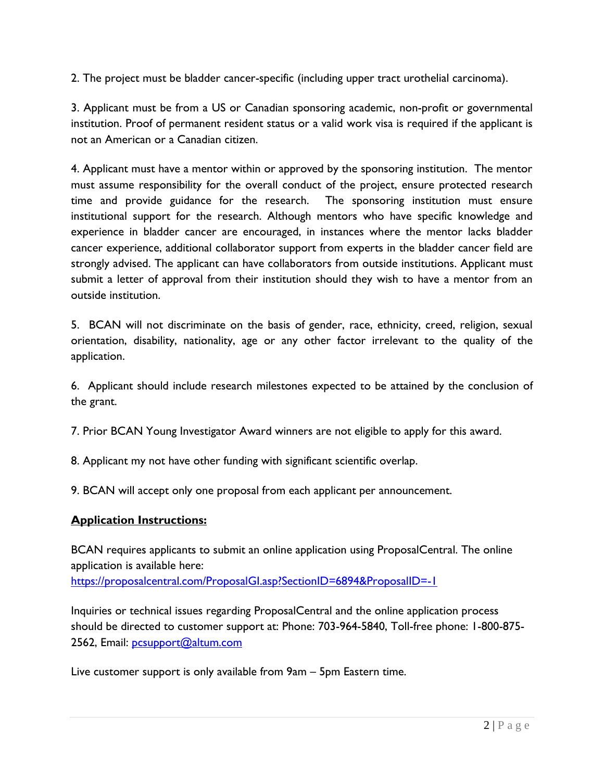2. The project must be bladder cancer-specific (including upper tract urothelial carcinoma).

3. Applicant must be from a US or Canadian sponsoring academic, non-profit or governmental institution. Proof of permanent resident status or a valid work visa is required if the applicant is not an American or a Canadian citizen.

4. Applicant must have a mentor within or approved by the sponsoring institution. The mentor must assume responsibility for the overall conduct of the project, ensure protected research time and provide guidance for the research. The sponsoring institution must ensure institutional support for the research. Although mentors who have specific knowledge and experience in bladder cancer are encouraged, in instances where the mentor lacks bladder cancer experience, additional collaborator support from experts in the bladder cancer field are strongly advised. The applicant can have collaborators from outside institutions. Applicant must submit a letter of approval from their institution should they wish to have a mentor from an outside institution.

5. BCAN will not discriminate on the basis of gender, race, ethnicity, creed, religion, sexual orientation, disability, nationality, age or any other factor irrelevant to the quality of the application.

6. Applicant should include research milestones expected to be attained by the conclusion of the grant.

7. Prior BCAN Young Investigator Award winners are not eligible to apply for this award.

8. Applicant my not have other funding with significant scientific overlap.

9. BCAN will accept only one proposal from each applicant per announcement.

# **Application Instructions:**

BCAN requires applicants to submit an online application using ProposalCentral. The online application is available here: <https://proposalcentral.com/ProposalGI.asp?SectionID=6894&ProposalID=-1>

Inquiries or technical issues regarding ProposalCentral and the online application process should be directed to customer support at: Phone: 703-964-5840, Toll-free phone: 1-800-875 2562, Email: [pcsupport@altum.com](mailto:pcsupport@altum.com)

Live customer support is only available from 9am – 5pm Eastern time.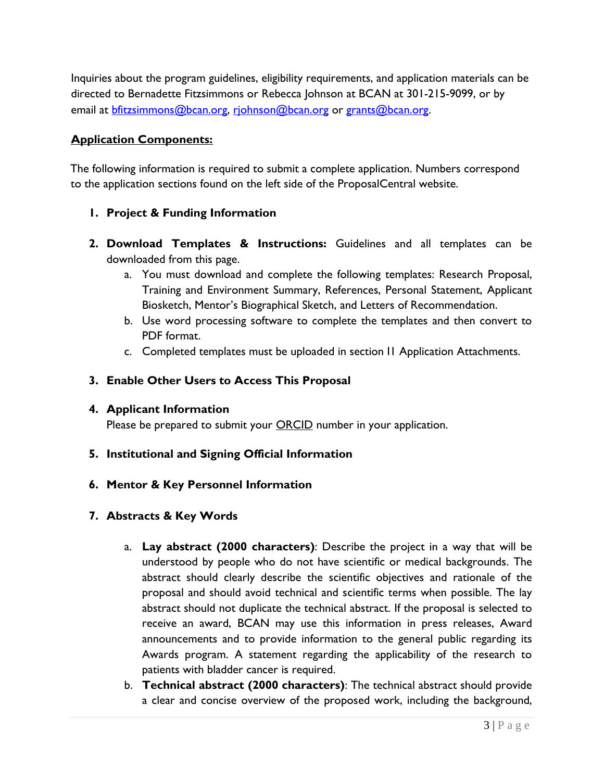Inquiries about the program guidelines, eligibility requirements, and application materials can be directed to Bernadette Fitzsimmons or Rebecca Johnson at BCAN at 301-215-9099, or by email at [bfitzsimmons@bcan.org,](mailto:bfitzsimmons@bcan.org) [rjohnson@bcan.org](mailto:rjohnson@bcan.org) or [grants@bcan.org.](mailto:grants@bcan.org)

#### **Application Components:**

The following information is required to submit a complete application. Numbers correspond to the application sections found on the left side of the ProposalCentral website.

- **1. Project & Funding Information**
- **2. Download Templates & Instructions:** Guidelines and all templates can be downloaded from this page.
	- a. You must download and complete the following templates: Research Proposal, Training and Environment Summary, References, Personal Statement, Applicant Biosketch, Mentor's Biographical Sketch, and Letters of Recommendation.
	- b. Use word processing software to complete the templates and then convert to PDF format.
	- c. Completed templates must be uploaded in section I1 Application Attachments.

## **3. Enable Other Users to Access This Proposal**

#### **4. Applicant Information**

Please be prepared to submit your **ORCID** number in your application.

**5. Institutional and Signing Official Information**

#### **6. Mentor & Key Personnel Information**

#### **7. Abstracts & Key Words**

- a. **Lay abstract (2000 characters)**: Describe the project in a way that will be understood by people who do not have scientific or medical backgrounds. The abstract should clearly describe the scientific objectives and rationale of the proposal and should avoid technical and scientific terms when possible. The lay abstract should not duplicate the technical abstract. If the proposal is selected to receive an award, BCAN may use this information in press releases, Award announcements and to provide information to the general public regarding its Awards program. A statement regarding the applicability of the research to patients with bladder cancer is required.
- b. **Technical abstract (2000 characters)**: The technical abstract should provide a clear and concise overview of the proposed work, including the background,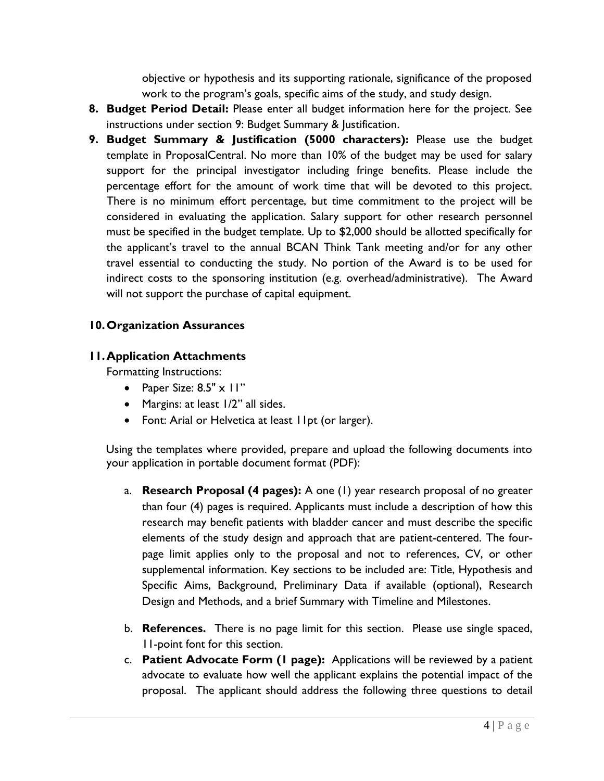objective or hypothesis and its supporting rationale, significance of the proposed work to the program's goals, specific aims of the study, and study design.

- **8. Budget Period Detail:** Please enter all budget information here for the project. See instructions under section 9: Budget Summary & Justification.
- **9. Budget Summary & Justification (5000 characters):** Please use the budget template in ProposalCentral. No more than 10% of the budget may be used for salary support for the principal investigator including fringe benefits. Please include the percentage effort for the amount of work time that will be devoted to this project. There is no minimum effort percentage, but time commitment to the project will be considered in evaluating the application. Salary support for other research personnel must be specified in the budget template. Up to \$2,000 should be allotted specifically for the applicant's travel to the annual BCAN Think Tank meeting and/or for any other travel essential to conducting the study. No portion of the Award is to be used for indirect costs to the sponsoring institution (e.g. overhead/administrative). The Award will not support the purchase of capital equipment.

## **10.Organization Assurances**

#### **11.Application Attachments**

Formatting Instructions:

- Paper Size:  $8.5" \times 11"$
- Margins: at least 1/2" all sides.
- Font: Arial or Helvetica at least 11pt (or larger).

Using the templates where provided, prepare and upload the following documents into your application in portable document format (PDF):

- a. **Research Proposal (4 pages):** A one (1) year research proposal of no greater than four (4) pages is required. Applicants must include a description of how this research may benefit patients with bladder cancer and must describe the specific elements of the study design and approach that are patient-centered. The fourpage limit applies only to the proposal and not to references, CV, or other supplemental information. Key sections to be included are: Title, Hypothesis and Specific Aims, Background, Preliminary Data if available (optional), Research Design and Methods, and a brief Summary with Timeline and Milestones.
- b. **References.** There is no page limit for this section. Please use single spaced, 11-point font for this section.
- c. **Patient Advocate Form (1 page):** Applications will be reviewed by a patient advocate to evaluate how well the applicant explains the potential impact of the proposal. The applicant should address the following three questions to detail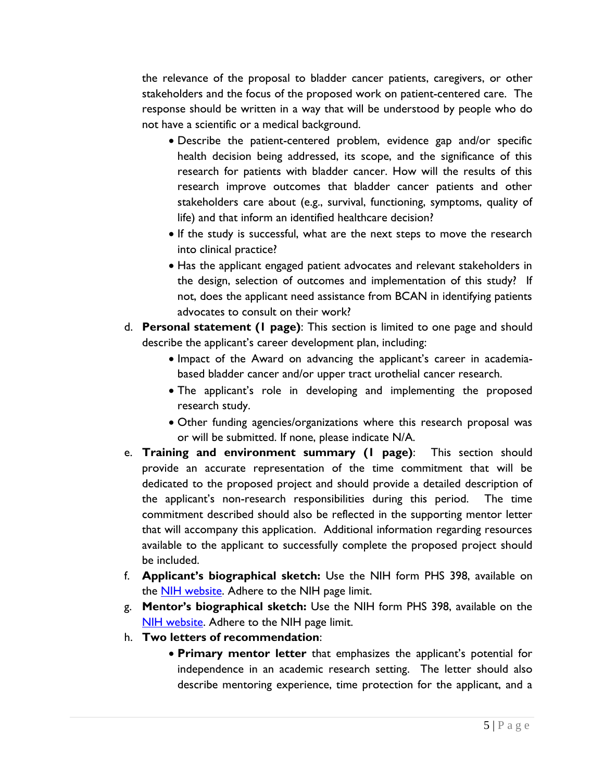the relevance of the proposal to bladder cancer patients, caregivers, or other stakeholders and the focus of the proposed work on patient-centered care. The response should be written in a way that will be understood by people who do not have a scientific or a medical background.

- Describe the patient-centered problem, evidence gap and/or specific health decision being addressed, its scope, and the significance of this research for patients with bladder cancer. How will the results of this research improve outcomes that bladder cancer patients and other stakeholders care about (e.g., survival, functioning, symptoms, quality of life) and that inform an identified healthcare decision?
- If the study is successful, what are the next steps to move the research into clinical practice?
- Has the applicant engaged patient advocates and relevant stakeholders in the design, selection of outcomes and implementation of this study? If not, does the applicant need assistance from BCAN in identifying patients advocates to consult on their work?
- d. **Personal statement (1 page)**: This section is limited to one page and should describe the applicant's career development plan, including:
	- Impact of the Award on advancing the applicant's career in academiabased bladder cancer and/or upper tract urothelial cancer research.
	- The applicant's role in developing and implementing the proposed research study.
	- Other funding agencies/organizations where this research proposal was or will be submitted. If none, please indicate N/A.
- e. **Training and environment summary (1 page)**: This section should provide an accurate representation of the time commitment that will be dedicated to the proposed project and should provide a detailed description of the applicant's non-research responsibilities during this period. The time commitment described should also be reflected in the supporting mentor letter that will accompany this application. Additional information regarding resources available to the applicant to successfully complete the proposed project should be included.
- f. **Applicant's biographical sketch:** Use the NIH form PHS 398, available on the [NIH website.](https://grants.nih.gov/grants/funding/phs398/phs398.html) Adhere to the NIH page limit.
- g. **Mentor's biographical sketch:** Use the NIH form PHS 398, available on the [NIH website.](https://grants.nih.gov/grants/funding/phs398/phs398.html) Adhere to the NIH page limit.
- h. **Two letters of recommendation**:
	- **Primary mentor letter** that emphasizes the applicant's potential for independence in an academic research setting. The letter should also describe mentoring experience, time protection for the applicant, and a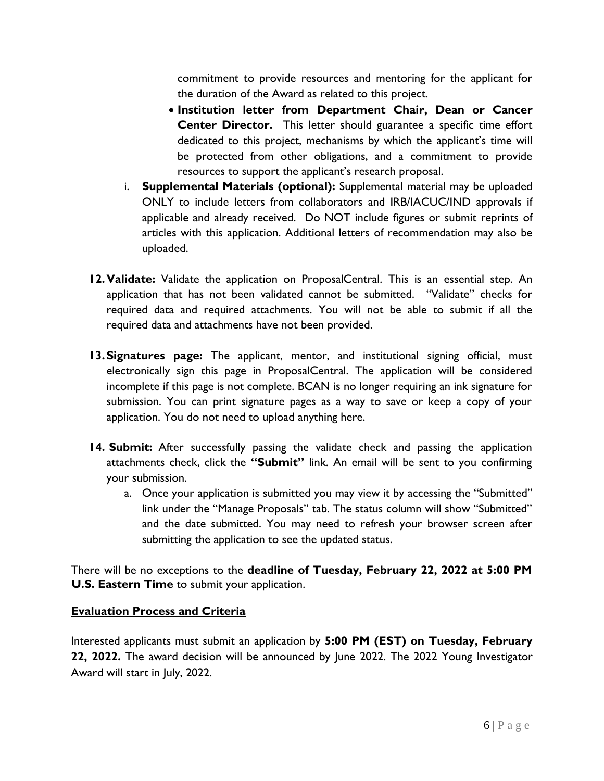commitment to provide resources and mentoring for the applicant for the duration of the Award as related to this project.

- **Institution letter from Department Chair, Dean or Cancer Center Director.** This letter should guarantee a specific time effort dedicated to this project, mechanisms by which the applicant's time will be protected from other obligations, and a commitment to provide resources to support the applicant's research proposal.
- i. **Supplemental Materials (optional):** Supplemental material may be uploaded ONLY to include letters from collaborators and IRB/IACUC/IND approvals if applicable and already received. Do NOT include figures or submit reprints of articles with this application. Additional letters of recommendation may also be uploaded.
- **12.Validate:** Validate the application on ProposalCentral. This is an essential step. An application that has not been validated cannot be submitted. "Validate" checks for required data and required attachments. You will not be able to submit if all the required data and attachments have not been provided.
- **13.Signatures page:** The applicant, mentor, and institutional signing official, must electronically sign this page in ProposalCentral. The application will be considered incomplete if this page is not complete. BCAN is no longer requiring an ink signature for submission. You can print signature pages as a way to save or keep a copy of your application. You do not need to upload anything here.
- **14. Submit:** After successfully passing the validate check and passing the application attachments check, click the **"Submit"** link. An email will be sent to you confirming your submission.
	- a. Once your application is submitted you may view it by accessing the "Submitted" link under the "Manage Proposals" tab. The status column will show "Submitted" and the date submitted. You may need to refresh your browser screen after submitting the application to see the updated status.

There will be no exceptions to the **deadline of Tuesday, February 22, 2022 at 5:00 PM U.S. Eastern Time** to submit your application.

# **Evaluation Process and Criteria**

Interested applicants must submit an application by **5:00 PM (EST) on Tuesday, February 22, 2022.** The award decision will be announced by June 2022. The 2022 Young Investigator Award will start in July, 2022.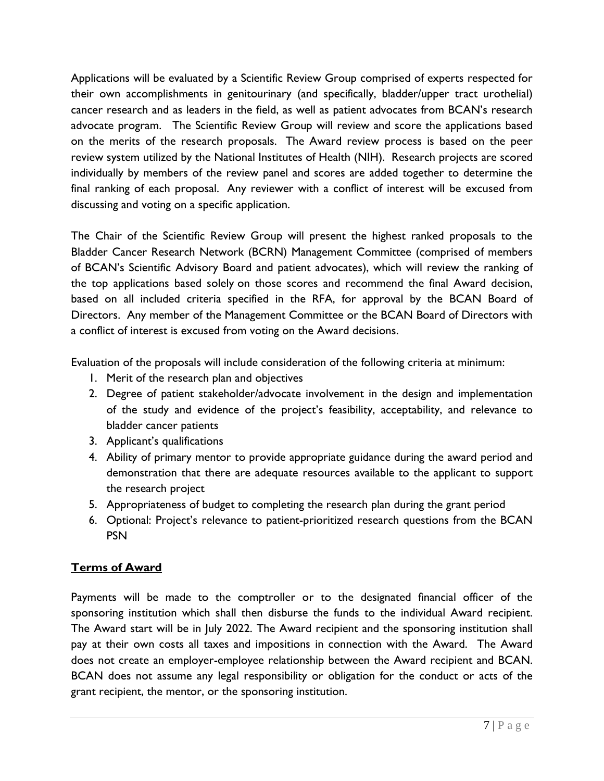Applications will be evaluated by a Scientific Review Group comprised of experts respected for their own accomplishments in genitourinary (and specifically, bladder/upper tract urothelial) cancer research and as leaders in the field, as well as patient advocates from BCAN's research advocate program. The Scientific Review Group will review and score the applications based on the merits of the research proposals. The Award review process is based on the peer review system utilized by the National Institutes of Health (NIH). Research projects are scored individually by members of the review panel and scores are added together to determine the final ranking of each proposal. Any reviewer with a conflict of interest will be excused from discussing and voting on a specific application.

The Chair of the Scientific Review Group will present the highest ranked proposals to the Bladder Cancer Research Network (BCRN) Management Committee (comprised of members of BCAN's Scientific Advisory Board and patient advocates), which will review the ranking of the top applications based solely on those scores and recommend the final Award decision, based on all included criteria specified in the RFA, for approval by the BCAN Board of Directors. Any member of the Management Committee or the BCAN Board of Directors with a conflict of interest is excused from voting on the Award decisions.

Evaluation of the proposals will include consideration of the following criteria at minimum:

- 1. Merit of the research plan and objectives
- 2. Degree of patient stakeholder/advocate involvement in the design and implementation of the study and evidence of the project's feasibility, acceptability, and relevance to bladder cancer patients
- 3. Applicant's qualifications
- 4. Ability of primary mentor to provide appropriate guidance during the award period and demonstration that there are adequate resources available to the applicant to support the research project
- 5. Appropriateness of budget to completing the research plan during the grant period
- 6. Optional: Project's relevance to patient-prioritized research questions from the BCAN PSN

# **Terms of Award**

Payments will be made to the comptroller or to the designated financial officer of the sponsoring institution which shall then disburse the funds to the individual Award recipient. The Award start will be in July 2022. The Award recipient and the sponsoring institution shall pay at their own costs all taxes and impositions in connection with the Award. The Award does not create an employer-employee relationship between the Award recipient and BCAN. BCAN does not assume any legal responsibility or obligation for the conduct or acts of the grant recipient, the mentor, or the sponsoring institution.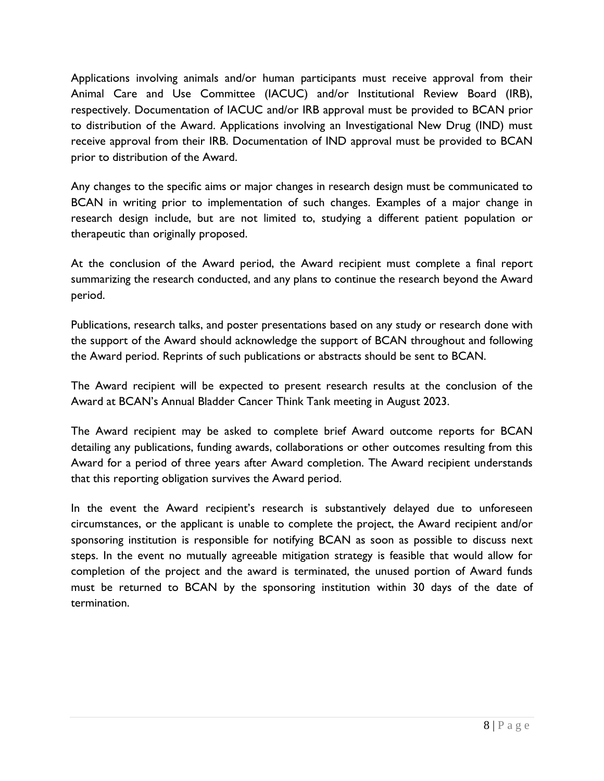Applications involving animals and/or human participants must receive approval from their Animal Care and Use Committee (IACUC) and/or Institutional Review Board (IRB), respectively. Documentation of IACUC and/or IRB approval must be provided to BCAN prior to distribution of the Award. Applications involving an Investigational New Drug (IND) must receive approval from their IRB. Documentation of IND approval must be provided to BCAN prior to distribution of the Award.

Any changes to the specific aims or major changes in research design must be communicated to BCAN in writing prior to implementation of such changes. Examples of a major change in research design include, but are not limited to, studying a different patient population or therapeutic than originally proposed.

At the conclusion of the Award period, the Award recipient must complete a final report summarizing the research conducted, and any plans to continue the research beyond the Award period.

Publications, research talks, and poster presentations based on any study or research done with the support of the Award should acknowledge the support of BCAN throughout and following the Award period. Reprints of such publications or abstracts should be sent to BCAN.

The Award recipient will be expected to present research results at the conclusion of the Award at BCAN's Annual Bladder Cancer Think Tank meeting in August 2023.

The Award recipient may be asked to complete brief Award outcome reports for BCAN detailing any publications, funding awards, collaborations or other outcomes resulting from this Award for a period of three years after Award completion. The Award recipient understands that this reporting obligation survives the Award period.

In the event the Award recipient's research is substantively delayed due to unforeseen circumstances, or the applicant is unable to complete the project, the Award recipient and/or sponsoring institution is responsible for notifying BCAN as soon as possible to discuss next steps. In the event no mutually agreeable mitigation strategy is feasible that would allow for completion of the project and the award is terminated, the unused portion of Award funds must be returned to BCAN by the sponsoring institution within 30 days of the date of termination.